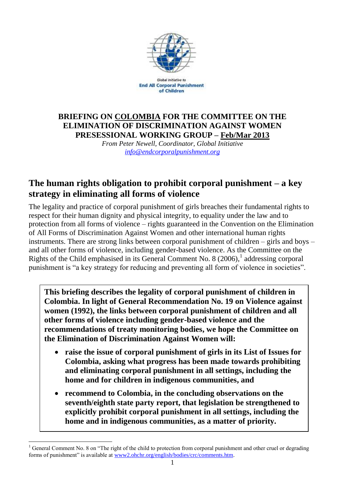

Global Initiative to **End All Corporal Punishment** of Children

## **BRIEFING ON COLOMBIA FOR THE COMMITTEE ON THE ELIMINATION OF DISCRIMINATION AGAINST WOMEN PRESESSIONAL WORKING GROUP – Feb/Mar 2013**

*From Peter Newell, Coordinator, Global Initiative [info@endcorporalpunishment.org](mailto:info@endcorporalpunishment.org)*

# **The human rights obligation to prohibit corporal punishment – a key strategy in eliminating all forms of violence**

The legality and practice of corporal punishment of girls breaches their fundamental rights to respect for their human dignity and physical integrity, to equality under the law and to protection from all forms of violence – rights guaranteed in the Convention on the Elimination of All Forms of Discrimination Against Women and other international human rights instruments. There are strong links between corporal punishment of children – girls and boys – and all other forms of violence, including gender-based violence. As the Committee on the Rights of the Child emphasised in its General Comment No. 8  $(2006)$ ,<sup>1</sup> addressing corporal punishment is "a key strategy for reducing and preventing all form of violence in societies".

**This briefing describes the legality of corporal punishment of children in Colombia. In light of General Recommendation No. 19 on Violence against women (1992), the links between corporal punishment of children and all other forms of violence including gender-based violence and the recommendations of treaty monitoring bodies, we hope the Committee on the Elimination of Discrimination Against Women will:**

- **raise the issue of corporal punishment of girls in its List of Issues for Colombia, asking what progress has been made towards prohibiting and eliminating corporal punishment in all settings, including the home and for children in indigenous communities, and**
- **recommend to Colombia, in the concluding observations on the seventh/eighth state party report, that legislation be strengthened to explicitly prohibit corporal punishment in all settings, including the home and in indigenous communities, as a matter of priority.**

 $\overline{a}$ 

<sup>&</sup>lt;sup>1</sup> General Comment No. 8 on "The right of the child to protection from corporal punishment and other cruel or degrading forms of punishment" is available at [www2.ohchr.org/english/bodies/crc/comments.htm.](http://www.ohchr.org/english/bodies/crc/comments.htm)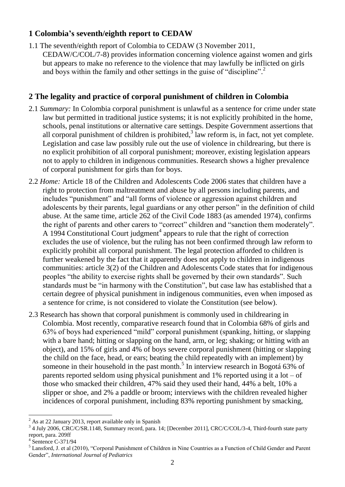#### **1 Colombia's seventh/eighth report to CEDAW**

1.1 The seventh/eighth report of Colombia to CEDAW (3 November 2011, CEDAW/C/COL/7-8) provides information concerning violence against women and girls but appears to make no reference to the violence that may lawfully be inflicted on girls and boys within the family and other settings in the guise of "discipline". 2

### **2 The legality and practice of corporal punishment of children in Colombia**

- 2.1 *Summary:* In Colombia corporal punishment is unlawful as a sentence for crime under state law but permitted in traditional justice systems; it is not explicitly prohibited in the home, schools, penal institutions or alternative care settings. Despite Government assertions that all corporal punishment of children is prohibited, $3$  law reform is, in fact, not yet complete. Legislation and case law possibly rule out the use of violence in childrearing, but there is no explicit prohibition of all corporal punishment; moreover, existing legislation appears not to apply to children in indigenous communities. Research shows a higher prevalence of corporal punishment for girls than for boys.
- 2.2 *Home:* Article 18 of the Children and Adolescents Code 2006 states that children have a right to protection from maltreatment and abuse by all persons including parents, and includes "punishment" and "all forms of violence or aggression against children and adolescents by their parents, legal guardians or any other person" in the definition of child abuse. At the same time, article 262 of the Civil Code 1883 (as amended 1974), confirms the right of parents and other carers to "correct" children and "sanction them moderately". A 1994 Constitutional Court judgment<sup>4</sup> appears to rule that the right of correction excludes the use of violence, but the ruling has not been confirmed through law reform to explicitly prohibit all corporal punishment. The legal protection afforded to children is further weakened by the fact that it apparently does not apply to children in indigenous communities: article 3(2) of the Children and Adolescents Code states that for indigenous peoples "the ability to exercise rights shall be governed by their own standards". Such standards must be "in harmony with the Constitution", but case law has established that a certain degree of physical punishment in indigenous communities, even when imposed as a sentence for crime, is not considered to violate the Constitution (see below).
- 2.3 Research has shown that corporal punishment is commonly used in childrearing in Colombia. Most recently, comparative research found that in Colombia 68% of girls and 63% of boys had experienced "mild" corporal punishment (spanking, hitting, or slapping with a bare hand; hitting or slapping on the hand, arm, or leg; shaking; or hitting with an object), and 15% of girls and 4% of boys severe corporal punishment (hitting or slapping the child on the face, head, or ears; beating the child repeatedly with an implement) by someone in their household in the past month.<sup>5</sup> In interview research in Bogotá 63% of parents reported seldom using physical punishment and  $1\%$  reported using it a lot – of those who smacked their children, 47% said they used their hand, 44% a belt, 10% a slipper or shoe, and 2% a paddle or broom; interviews with the children revealed higher incidences of corporal punishment, including 83% reporting punishment by smacking,

 $\overline{a}$ <sup>2</sup> As at 22 January 2013, report available only in Spanish

<sup>&</sup>lt;sup>3</sup> 4 July 2006, CRC/C/SR.1148, Summary record, para. 14; [December 2011], CRC/C/COL/3-4, Third-fourth state party report, para. 209ff

<sup>4</sup> Sentence C-371/94

<sup>5</sup> Lansford, J. et al (2010), "Corporal Punishment of Children in Nine Countries as a Function of Child Gender and Parent Gender", *International Journal of Pediatrics*